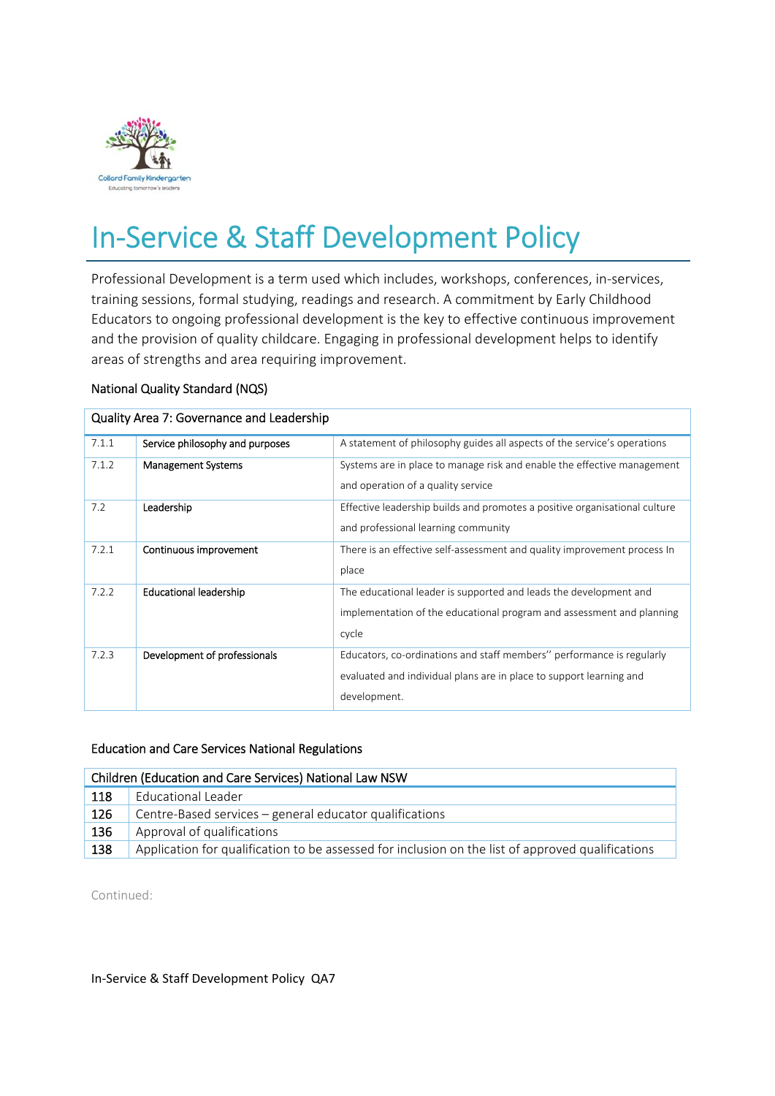

# In‐Service & Staff Development Policy

Professional Development is a term used which includes, workshops, conferences, in‐services, training sessions, formal studying, readings and research. A commitment by Early Childhood Educators to ongoing professional development is the key to effective continuous improvement and the provision of quality childcare. Engaging in professional development helps to identify areas of strengths and area requiring improvement.

# National Quality Standard (NQS)

| Quality Area 7: Governance and Leadership |                                 |                                                                            |  |  |
|-------------------------------------------|---------------------------------|----------------------------------------------------------------------------|--|--|
| 7.1.1                                     | Service philosophy and purposes | A statement of philosophy guides all aspects of the service's operations   |  |  |
| 7.1.2                                     | <b>Management Systems</b>       | Systems are in place to manage risk and enable the effective management    |  |  |
|                                           |                                 | and operation of a quality service                                         |  |  |
| 7.2                                       | Leadership                      | Effective leadership builds and promotes a positive organisational culture |  |  |
|                                           |                                 | and professional learning community                                        |  |  |
| 7.2.1                                     | Continuous improvement          | There is an effective self-assessment and quality improvement process In   |  |  |
|                                           |                                 | place                                                                      |  |  |
| 7.2.2                                     | <b>Educational leadership</b>   | The educational leader is supported and leads the development and          |  |  |
|                                           |                                 | implementation of the educational program and assessment and planning      |  |  |
|                                           |                                 | cycle                                                                      |  |  |
| 7.2.3                                     | Development of professionals    | Educators, co-ordinations and staff members" performance is regularly      |  |  |
|                                           |                                 | evaluated and individual plans are in place to support learning and        |  |  |
|                                           |                                 | development.                                                               |  |  |

# Quality Area 7: Governance and Leadership

#### Education and Care Services National Regulations

| Children (Education and Care Services) National Law NSW |                                                                                                   |  |  |
|---------------------------------------------------------|---------------------------------------------------------------------------------------------------|--|--|
| 118                                                     | Educational Leader                                                                                |  |  |
| 126                                                     | Centre-Based services - general educator qualifications                                           |  |  |
| 136                                                     | Approval of qualifications                                                                        |  |  |
| 138                                                     | Application for qualification to be assessed for inclusion on the list of approved qualifications |  |  |

Continued:

In‐Service & Staff Development Policy QA7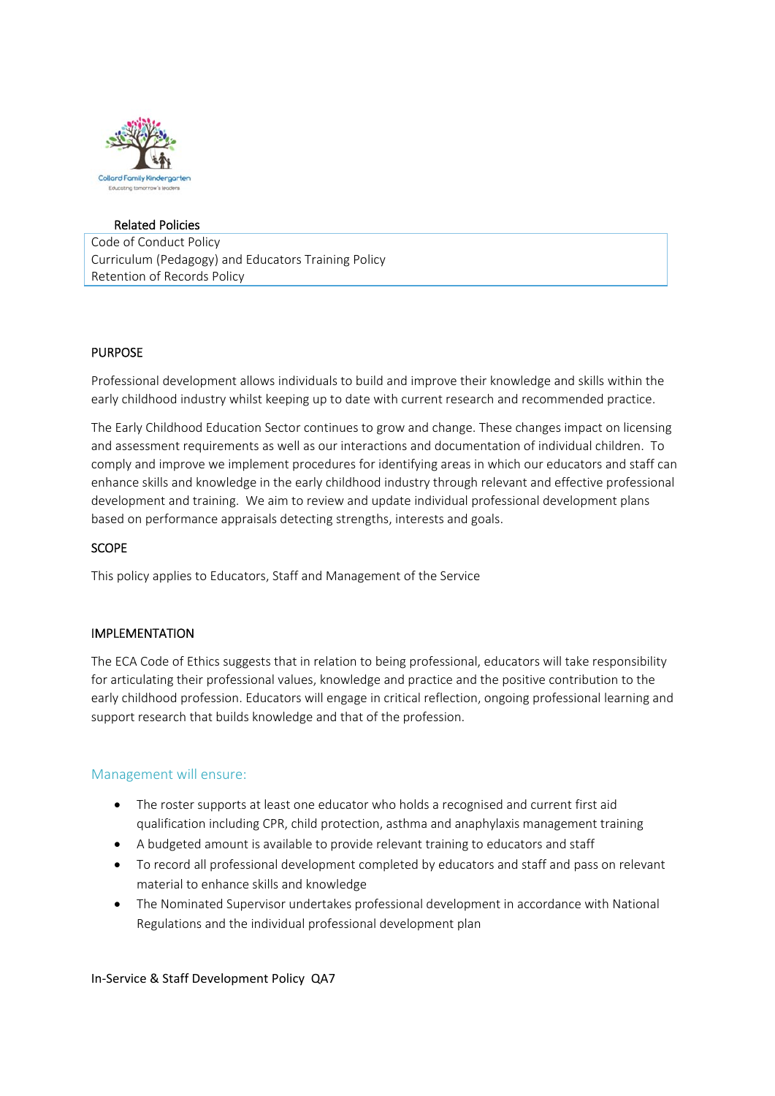

#### Related Policies

Code of Conduct Policy Curriculum (Pedagogy) and Educators Training Policy Retention of Records Policy

#### PURPOSE

Professional development allows individuals to build and improve their knowledge and skills within the early childhood industry whilst keeping up to date with current research and recommended practice.

The Early Childhood Education Sector continues to grow and change. These changes impact on licensing and assessment requirements as well as our interactions and documentation of individual children. To comply and improve we implement procedures for identifying areas in which our educators and staff can enhance skills and knowledge in the early childhood industry through relevant and effective professional development and training. We aim to review and update individual professional development plans based on performance appraisals detecting strengths, interests and goals.

#### **SCOPE**

This policy applies to Educators, Staff and Management of the Service

#### IMPLEMENTATION

The ECA Code of Ethics suggests that in relation to being professional, educators will take responsibility for articulating their professional values, knowledge and practice and the positive contribution to the early childhood profession. Educators will engage in critical reflection, ongoing professional learning and support research that builds knowledge and that of the profession.

#### Management will ensure:

- The roster supports at least one educator who holds a recognised and current first aid qualification including CPR, child protection, asthma and anaphylaxis management training
- A budgeted amount is available to provide relevant training to educators and staff
- To record all professional development completed by educators and staff and pass on relevant material to enhance skills and knowledge
- The Nominated Supervisor undertakes professional development in accordance with National Regulations and the individual professional development plan

In‐Service & Staff Development Policy QA7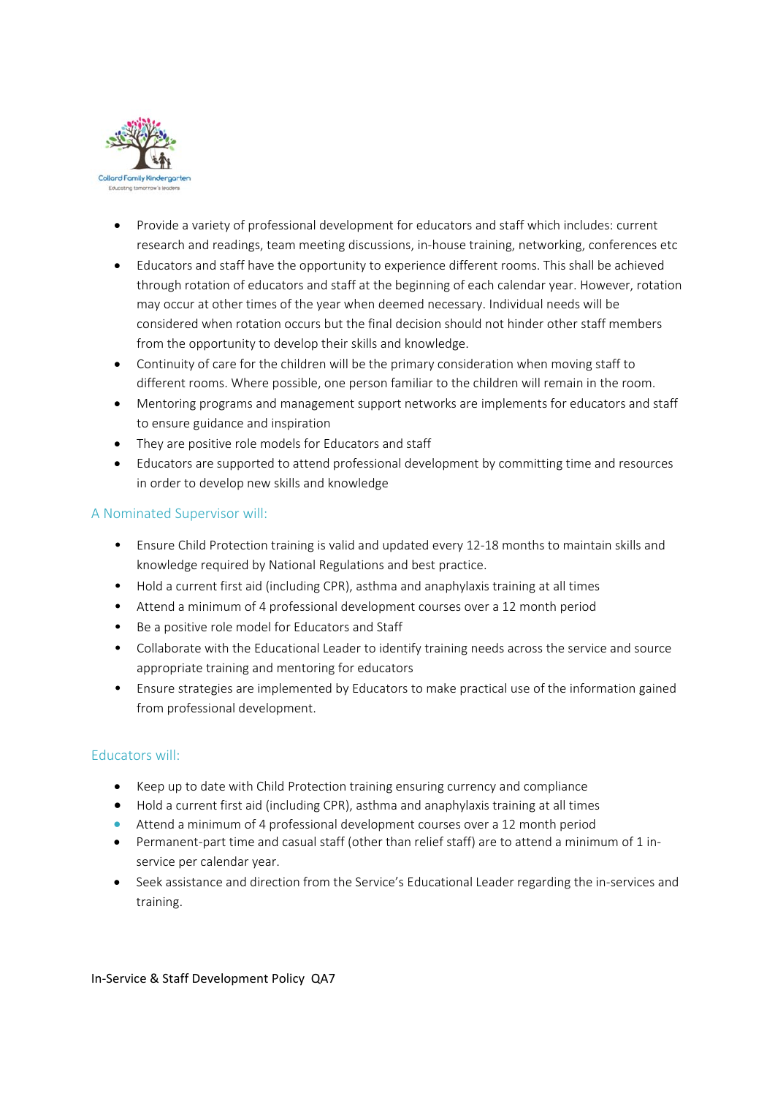

- Provide a variety of professional development for educators and staff which includes: current research and readings, team meeting discussions, in‐house training, networking, conferences etc
- Educators and staff have the opportunity to experience different rooms. This shall be achieved through rotation of educators and staff at the beginning of each calendar year. However, rotation may occur at other times of the year when deemed necessary. Individual needs will be considered when rotation occurs but the final decision should not hinder other staff members from the opportunity to develop their skills and knowledge.
- Continuity of care for the children will be the primary consideration when moving staff to different rooms. Where possible, one person familiar to the children will remain in the room.
- Mentoring programs and management support networks are implements for educators and staff to ensure guidance and inspiration
- They are positive role models for Educators and staff
- Educators are supported to attend professional development by committing time and resources in order to develop new skills and knowledge

# A Nominated Supervisor will:

- Ensure Child Protection training is valid and updated every 12‐18 months to maintain skills and knowledge required by National Regulations and best practice.
- Hold a current first aid (including CPR), asthma and anaphylaxis training at all times
- Attend a minimum of 4 professional development courses over a 12 month period
- Be a positive role model for Educators and Staff
- Collaborate with the Educational Leader to identify training needs across the service and source appropriate training and mentoring for educators
- Ensure strategies are implemented by Educators to make practical use of the information gained from professional development.

# Educators will:

- Keep up to date with Child Protection training ensuring currency and compliance
- Hold a current first aid (including CPR), asthma and anaphylaxis training at all times
- Attend a minimum of 4 professional development courses over a 12 month period
- Permanent-part time and casual staff (other than relief staff) are to attend a minimum of 1 inservice per calendar year.
- Seek assistance and direction from the Service's Educational Leader regarding the in-services and training.

In‐Service & Staff Development Policy QA7